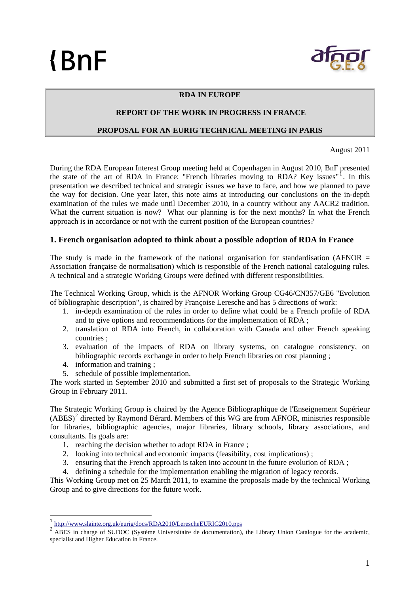# **{BnF**



## **RDA IN EUROPE**

## **REPORT OF THE WORK IN PROGRESS IN FRANCE**

## **PROPOSAL FOR AN EURIG TECHNICAL MEETING IN PARIS**

August 2011

During the RDA European Interest Group meeting held at Copenhagen in August 2010, BnF presented the state of the art of RDA in France: "French libraries moving to RDA? Key issues"<sup>[1](#page-0-0)</sup>. In this presentation we described technical and strategic issues we have to face, and how we planned to pave the way for decision. One year later, this note aims at introducing our conclusions on the in-depth examination of the rules we made until December 2010, in a country without any AACR2 tradition. What the current situation is now? What our planning is for the next months? In what the French approach is in accordance or not with the current position of the European countries?

# **1. French organisation adopted to think about a possible adoption of RDA in France**

The study is made in the framework of the national organisation for standardisation (AFNOR  $=$ Association française de normalisation) which is responsible of the French national cataloguing rules. A technical and a strategic Working Groups were defined with different responsibilities.

The Technical Working Group, which is the AFNOR Working Group CG46/CN357/GE6 "Evolution of bibliographic description", is chaired by Françoise Leresche and has 5 directions of work:

- 1. in-depth examination of the rules in order to define what could be a French profile of RDA and to give options and recommendations for the implementation of RDA ;
- 2. translation of RDA into French, in collaboration with Canada and other French speaking countries ;
- 3. evaluation of the impacts of RDA on library systems, on catalogue consistency, on bibliographic records exchange in order to help French libraries on cost planning ;
- 4. information and training ;

1

5. schedule of possible implementation.

The work started in September 2010 and submitted a first set of proposals to the Strategic Working Group in February 2011.

The Strategic Working Group is chaired by the Agence Bibliographique de l'Enseignement Supérieur (ABES)<sup>[2](#page-0-1)</sup> directed by Raymond Bérard. Members of this WG are from AFNOR, ministries responsible for libraries, bibliographic agencies, major libraries, library schools, library associations, and consultants. Its goals are:

- 1. reaching the decision whether to adopt RDA in France ;
- 2. looking into technical and economic impacts (feasibility, cost implications) ;
- 3. ensuring that the French approach is taken into account in the future evolution of RDA ;
- 4. defining a schedule for the implementation enabling the migration of legacy records.

This Working Group met on 25 March 2011, to examine the proposals made by the technical Working Group and to give directions for the future work.

<span id="page-0-0"></span> $\frac{1}{2}$  <http://www.slainte.org.uk/eurig/docs/RDA2010/LerescheEURIG2010.pps>

<span id="page-0-1"></span><sup>2</sup> ABES in charge of SUDOC (Système Universitaire de documentation), the Library Union Catalogue for the academic, specialist and Higher Education in France.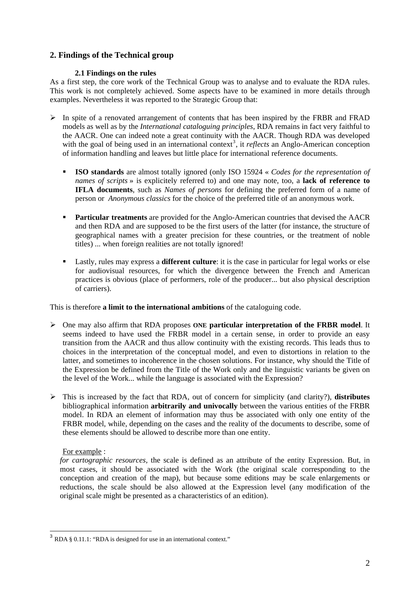# **2. Findings of the Technical group**

# **2.1 Findings on the rules**

As a first step, the core work of the Technical Group was to analyse and to evaluate the RDA rules. This work is not completely achieved. Some aspects have to be examined in more details through examples. Nevertheless it was reported to the Strategic Group that:

- ¾ In spite of a renovated arrangement of contents that has been inspired by the FRBR and FRAD models as well as by the *International cataloguing principles*, RDA remains in fact very faithful to the AACR. One can indeed note a great continuity with the AACR. Though RDA was developed with the goal of being used in an international context<sup>[3](#page-1-0)</sup>, it *reflects* an Anglo-American conception of information handling and leaves but little place for international reference documents.
	- **ISO standards** are almost totally ignored (only ISO 15924 « *Codes for the representation of names of scripts* » is explicitely referred to) and one may note, too, a **lack of reference to IFLA documents**, such as *Names of persons* for defining the preferred form of a name of person or *Anonymous classics* for the choice of the preferred title of an anonymous work.
	- **Particular treatments** are provided for the Anglo-American countries that devised the AACR and then RDA and are supposed to be the first users of the latter (for instance, the structure of geographical names with a greater precision for these countries, or the treatment of noble titles) ... when foreign realities are not totally ignored!
	- Lastly, rules may express a **different culture**: it is the case in particular for legal works or else for audiovisual resources, for which the divergence between the French and American practices is obvious (place of performers, role of the producer... but also physical description of carriers).

This is therefore **a limit to the international ambitions** of the cataloguing code.

- ¾ One may also affirm that RDA proposes **ONE particular interpretation of the FRBR model**. It seems indeed to have used the FRBR model in a certain sense, in order to provide an easy transition from the AACR and thus allow continuity with the existing records. This leads thus to choices in the interpretation of the conceptual model, and even to distortions in relation to the latter, and sometimes to incoherence in the chosen solutions. For instance, why should the Title of the Expression be defined from the Title of the Work only and the linguistic variants be given on the level of the Work... while the language is associated with the Expression?
- ¾ This is increased by the fact that RDA, out of concern for simplicity (and clarity?), **distributes** bibliographical information **arbitrarily and univocally** between the various entities of the FRBR model. In RDA an element of information may thus be associated with only one entity of the FRBR model, while, depending on the cases and the reality of the documents to describe, some of these elements should be allowed to describe more than one entity.

# For example :

1

*for cartographic resources,* the scale is defined as an attribute of the entity Expression. But, in most cases, it should be associated with the Work (the original scale corresponding to the conception and creation of the map), but because some editions may be scale enlargements or reductions, the scale should be also allowed at the Expression level (any modification of the original scale might be presented as a characteristics of an edition).

<span id="page-1-0"></span><sup>3</sup> RDA § 0.11.1: "RDA is designed for use in an international context."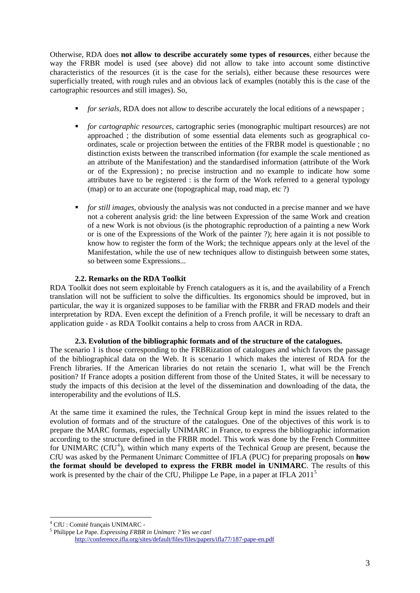Otherwise, RDA does **not allow to describe accurately some types of resources**, either because the way the FRBR model is used (see above) did not allow to take into account some distinctive characteristics of the resources (it is the case for the serials), either because these resources were superficially treated, with rough rules and an obvious lack of examples (notably this is the case of the cartographic resources and still images). So,

- **for serials**, RDA does not allow to describe accurately the local editions of a newspaper ;
- *for cartographic resources*, cartographic series (monographic multipart resources) are not approached ; the distribution of some essential data elements such as geographical coordinates, scale or projection between the entities of the FRBR model is questionable ; no distinction exists between the transcribed information (for example the scale mentioned as an attribute of the Manifestation) and the standardised information (attribute of the Work or of the Expression) ; no precise instruction and no example to indicate how some attributes have to be registered : is the form of the Work referred to a general typology (map) or to an accurate one (topographical map, road map, etc ?)
- *for still images*, obviously the analysis was not conducted in a precise manner and we have not a coherent analysis grid: the line between Expression of the same Work and creation of a new Work is not obvious (is the photographic reproduction of a painting a new Work or is one of the Expressions of the Work of the painter ?); here again it is not possible to know how to register the form of the Work; the technique appears only at the level of the Manifestation, while the use of new techniques allow to distinguish between some states, so between some Expressions...

## **2.2. Remarks on the RDA Toolkit**

RDA Toolkit does not seem exploitable by French cataloguers as it is, and the availability of a French translation will not be sufficient to solve the difficulties. Its ergonomics should be improved, but in particular, the way it is organized supposes to be familiar with the FRBR and FRAD models and their interpretation by RDA. Even except the definition of a French profile, it will be necessary to draft an application guide - as RDA Toolkit contains a help to cross from AACR in RDA.

## **2.3. Evolution of the bibliographic formats and of the structure of the catalogues.**

The scenario 1 is those corresponding to the FRBRization of catalogues and which favors the passage of the bibliographical data on the Web. It is scenario 1 which makes the interest of RDA for the French libraries. If the American libraries do not retain the scenario 1, what will be the French position? If France adopts a position different from those of the United States, it will be necessary to study the impacts of this decision at the level of the dissemination and downloading of the data, the interoperability and the evolutions of ILS.

At the same time it examined the rules, the Technical Group kept in mind the issues related to the evolution of formats and of the structure of the catalogues. One of the objectives of this work is to prepare the MARC formats, especially UNIMARC in France, to express the bibliographic information according to the structure defined in the FRBR model. This work was done by the French Committee for UNIMARC (CfU<sup>[4](#page-2-0)</sup>), within which many experts of the Technical Group are present, because the CfU was asked by the Permanent Unimarc Committee of IFLA (PUC) for preparing proposals on **how the format should be developed to express the FRBR model in UNIMARC**. The results of this work is presented by the chair of the CfU, Philippe Le Pape, in a paper at IFLA 2011<sup>[5](#page-2-1)</sup>

<span id="page-2-0"></span><sup>1</sup> 4 CfU : Comité français UNIMARC -

<span id="page-2-1"></span><sup>5</sup> Philippe Le Pape. *Expressing FRBR in Unimarc ? Yes we can!*  <http://conference.ifla.org/sites/default/files/files/papers/ifla77/187-pape-en.pdf>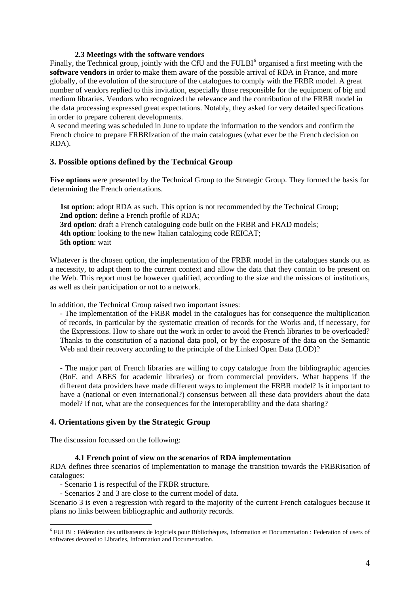## **2.3 Meetings with the software vendors**

Finally, the Technical group, jointly with the CfU and the FULBI<sup>[6](#page-3-0)</sup> organised a first meeting with the **software vendors** in order to make them aware of the possible arrival of RDA in France, and more globally, of the evolution of the structure of the catalogues to comply with the FRBR model. A great number of vendors replied to this invitation, especially those responsible for the equipment of big and medium libraries. Vendors who recognized the relevance and the contribution of the FRBR model in the data processing expressed great expectations. Notably, they asked for very detailed specifications in order to prepare coherent developments.

A second meeting was scheduled in June to update the information to the vendors and confirm the French choice to prepare FRBRIzation of the main catalogues (what ever be the French decision on RDA).

# **3. Possible options defined by the Technical Group**

**Five options** were presented by the Technical Group to the Strategic Group. They formed the basis for determining the French orientations.

**1st option**: adopt RDA as such. This option is not recommended by the Technical Group; **2nd option**: define a French profile of RDA; **3rd option**: draft a French cataloguing code built on the FRBR and FRAD models; **4th option**: looking to the new Italian cataloging code REICAT; **5th option**: wait

Whatever is the chosen option, the implementation of the FRBR model in the catalogues stands out as a necessity, to adapt them to the current context and allow the data that they contain to be present on the Web. This report must be however qualified, according to the size and the missions of institutions, as well as their participation or not to a network.

In addition, the Technical Group raised two important issues:

- The implementation of the FRBR model in the catalogues has for consequence the multiplication of records, in particular by the systematic creation of records for the Works and, if necessary, for the Expressions. How to share out the work in order to avoid the French libraries to be overloaded? Thanks to the constitution of a national data pool, or by the exposure of the data on the Semantic Web and their recovery according to the principle of the Linked Open Data (LOD)?

- The major part of French libraries are willing to copy catalogue from the bibliographic agencies (BnF, and ABES for academic libraries) or from commercial providers. What happens if the different data providers have made different ways to implement the FRBR model? Is it important to have a (national or even international?) consensus between all these data providers about the data model? If not, what are the consequences for the interoperability and the data sharing?

# **4. Orientations given by the Strategic Group**

The discussion focussed on the following:

1

## **4.1 French point of view on the scenarios of RDA implementation**

RDA defines three scenarios of implementation to manage the transition towards the FRBRisation of catalogues:

- Scenario 1 is respectful of the FRBR structure.
- Scenarios 2 and 3 are close to the current model of data.

Scenario 3 is even a regression with regard to the majority of the current French catalogues because it plans no links between bibliographic and authority records.

<span id="page-3-0"></span><sup>&</sup>lt;sup>6</sup> FULBI : Fédération des utilisateurs de logiciels pour Bibliothèques, Information et Documentation : Federation of users of softwares devoted to Libraries, Information and Documentation.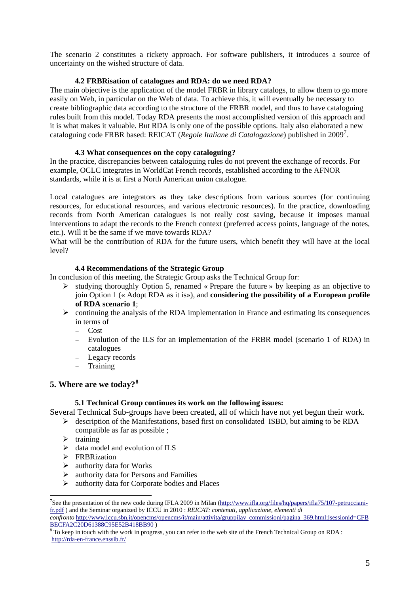The scenario 2 constitutes a rickety approach. For software publishers, it introduces a source of uncertainty on the wished structure of data.

# **4.2 FRBRisation of catalogues and RDA: do we need RDA?**

The main objective is the application of the model FRBR in library catalogs, to allow them to go more easily on Web, in particular on the Web of data. To achieve this, it will eventually be necessary to create bibliographic data according to the structure of the FRBR model, and thus to have cataloguing rules built from this model. Today RDA presents the most accomplished version of this approach and it is what makes it valuable. But RDA is only one of the possible options. Italy also elaborated a new cataloguing code FRBR based: REICAT (*Regole Italiane di Catalogazione*) published in 2009<sup>[7](#page-4-0)</sup>.

## **4.3 What consequences on the copy cataloguing?**

In the practice, discrepancies between cataloguing rules do not prevent the exchange of records. For example, OCLC integrates in WorldCat French records, established according to the AFNOR standards, while it is at first a North American union catalogue.

Local catalogues are integrators as they take descriptions from various sources (for continuing resources, for educational resources, and various electronic resources). In the practice, downloading records from North American catalogues is not really cost saving, because it imposes manual interventions to adapt the records to the French context (preferred access points, language of the notes, etc.). Will it be the same if we move towards RDA?

What will be the contribution of RDA for the future users, which benefit they will have at the local level?

## **4.4 Recommendations of the Strategic Group**

In conclusion of this meeting, the Strategic Group asks the Technical Group for:

- $\triangleright$  studying thoroughly Option 5, renamed « Prepare the future » by keeping as an objective to join Option 1 (« Adopt RDA as it is»), and **considering the possibility of a European profile of RDA scenario 1**;
- $\triangleright$  continuing the analysis of the RDA implementation in France and estimating its consequences in terms of
	- − Cost
	- Evolution of the ILS for an implementation of the FRBR model (scenario 1 of RDA) in catalogues
	- − Legacy records
	- − Training

# **5. Where are we today?[8](#page-4-1)**

## **5.1 Technical Group continues its work on the following issues:**

Several Technical Sub-groups have been created, all of which have not yet begun their work.

- $\triangleright$  description of the Manifestations, based first on consolidated ISBD, but aiming to be RDA compatible as far as possible ;
- $\triangleright$  training
- $\triangleright$  data model and evolution of ILS
- $\triangleright$  FRBRization
- $\blacktriangleright$  authority data for Works
- $\triangleright$  authority data for Persons and Families
- $\triangleright$  authority data for Corporate bodies and Places

<span id="page-4-0"></span>The presentation of the new code during IFLA 2009 in Milan ([http://www.ifla.org/files/hq/papers/ifla75/107-petrucciani](http://www.ifla.org/files/hq/papers/ifla75/107-petrucciani-fr.pdf)[fr.pdf](http://www.ifla.org/files/hq/papers/ifla75/107-petrucciani-fr.pdf) ) and the Seminar organized by ICCU in 2010 : *REICAT: contenuti, applicazione, elementi di confronto* [http://www.iccu.sbn.it/opencms/opencms/it/main/attivita/gruppilav\\_commissioni/pagina\\_369.html;jsessionid=CFB](http://www.iccu.sbn.it/opencms/opencms/it/main/attivita/gruppilav_commissioni/pagina_369.html;jsessionid=CFBBECFA2C20D61388C95E52B418BB90) [BECFA2C20D61388C95E52B418B](http://www.iccu.sbn.it/opencms/opencms/it/main/attivita/gruppilav_commissioni/pagina_369.html;jsessionid=CFBBECFA2C20D61388C95E52B418BB90)B90 )

<span id="page-4-1"></span> $8^8$  To keep in touch with the work in progress, you can refer to the web site of the French Technical Group on RDA : <http://rda-en-france.enssib.fr/>